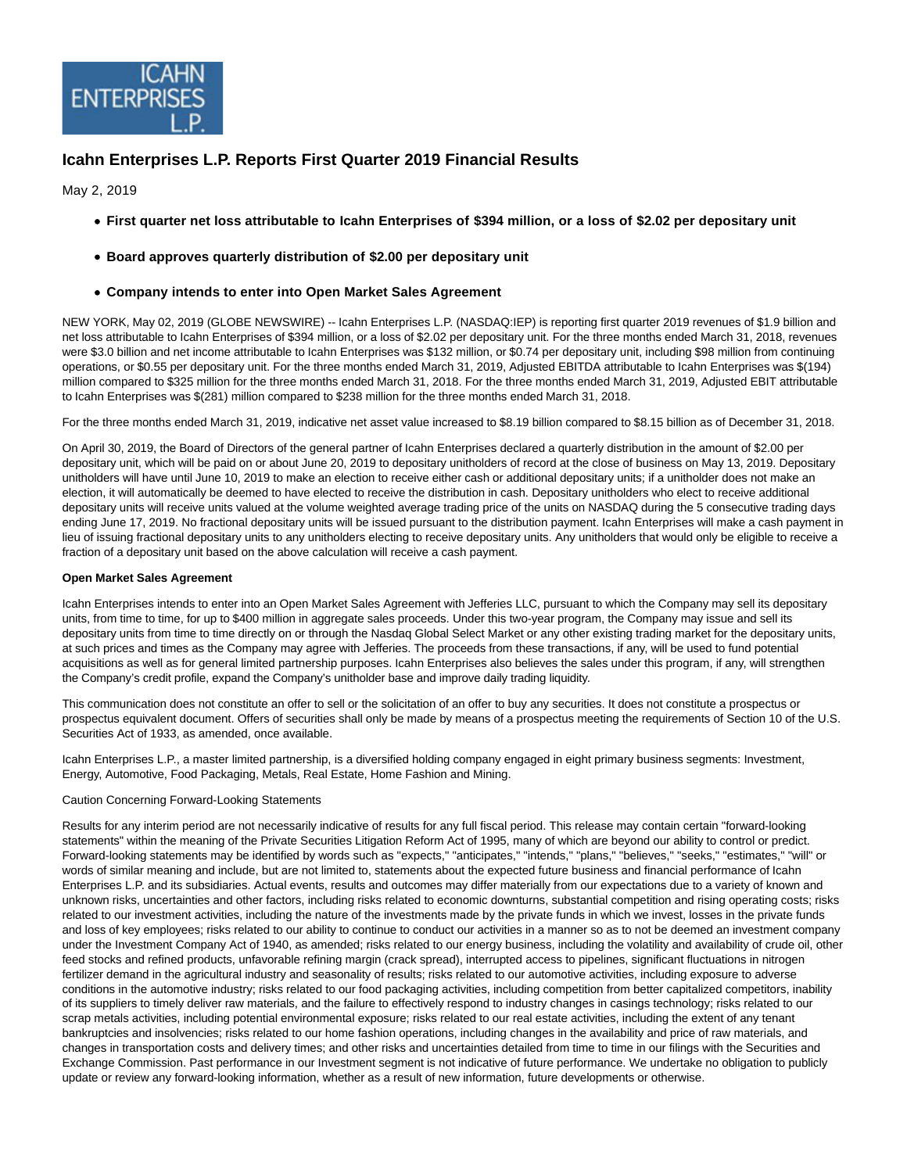

# **Icahn Enterprises L.P. Reports First Quarter 2019 Financial Results**

May 2, 2019

- **First quarter net loss attributable to Icahn Enterprises of \$394 million, or a loss of \$2.02 per depositary unit**
- **Board approves quarterly distribution of \$2.00 per depositary unit**
- **Company intends to enter into Open Market Sales Agreement**

NEW YORK, May 02, 2019 (GLOBE NEWSWIRE) -- Icahn Enterprises L.P. (NASDAQ:IEP) is reporting first quarter 2019 revenues of \$1.9 billion and net loss attributable to Icahn Enterprises of \$394 million, or a loss of \$2.02 per depositary unit. For the three months ended March 31, 2018, revenues were \$3.0 billion and net income attributable to Icahn Enterprises was \$132 million, or \$0.74 per depositary unit, including \$98 million from continuing operations, or \$0.55 per depositary unit. For the three months ended March 31, 2019, Adjusted EBITDA attributable to Icahn Enterprises was \$(194) million compared to \$325 million for the three months ended March 31, 2018. For the three months ended March 31, 2019, Adjusted EBIT attributable to Icahn Enterprises was \$(281) million compared to \$238 million for the three months ended March 31, 2018.

For the three months ended March 31, 2019, indicative net asset value increased to \$8.19 billion compared to \$8.15 billion as of December 31, 2018.

On April 30, 2019, the Board of Directors of the general partner of Icahn Enterprises declared a quarterly distribution in the amount of \$2.00 per depositary unit, which will be paid on or about June 20, 2019 to depositary unitholders of record at the close of business on May 13, 2019. Depositary unitholders will have until June 10, 2019 to make an election to receive either cash or additional depositary units; if a unitholder does not make an election, it will automatically be deemed to have elected to receive the distribution in cash. Depositary unitholders who elect to receive additional depositary units will receive units valued at the volume weighted average trading price of the units on NASDAQ during the 5 consecutive trading days ending June 17, 2019. No fractional depositary units will be issued pursuant to the distribution payment. Icahn Enterprises will make a cash payment in lieu of issuing fractional depositary units to any unitholders electing to receive depositary units. Any unitholders that would only be eligible to receive a fraction of a depositary unit based on the above calculation will receive a cash payment.

## **Open Market Sales Agreement**

Icahn Enterprises intends to enter into an Open Market Sales Agreement with Jefferies LLC, pursuant to which the Company may sell its depositary units, from time to time, for up to \$400 million in aggregate sales proceeds. Under this two-year program, the Company may issue and sell its depositary units from time to time directly on or through the Nasdaq Global Select Market or any other existing trading market for the depositary units, at such prices and times as the Company may agree with Jefferies. The proceeds from these transactions, if any, will be used to fund potential acquisitions as well as for general limited partnership purposes. Icahn Enterprises also believes the sales under this program, if any, will strengthen the Company's credit profile, expand the Company's unitholder base and improve daily trading liquidity.

This communication does not constitute an offer to sell or the solicitation of an offer to buy any securities. It does not constitute a prospectus or prospectus equivalent document. Offers of securities shall only be made by means of a prospectus meeting the requirements of Section 10 of the U.S. Securities Act of 1933, as amended, once available.

Icahn Enterprises L.P., a master limited partnership, is a diversified holding company engaged in eight primary business segments: Investment, Energy, Automotive, Food Packaging, Metals, Real Estate, Home Fashion and Mining.

### Caution Concerning Forward-Looking Statements

Results for any interim period are not necessarily indicative of results for any full fiscal period. This release may contain certain "forward-looking statements" within the meaning of the Private Securities Litigation Reform Act of 1995, many of which are beyond our ability to control or predict. Forward-looking statements may be identified by words such as "expects," "anticipates," "ntends," "plans," "believes," "seeks," "estimates," "will" or words of similar meaning and include, but are not limited to, statements about the expected future business and financial performance of Icahn Enterprises L.P. and its subsidiaries. Actual events, results and outcomes may differ materially from our expectations due to a variety of known and unknown risks, uncertainties and other factors, including risks related to economic downturns, substantial competition and rising operating costs; risks related to our investment activities, including the nature of the investments made by the private funds in which we invest, losses in the private funds and loss of key employees; risks related to our ability to continue to conduct our activities in a manner so as to not be deemed an investment company under the Investment Company Act of 1940, as amended; risks related to our energy business, including the volatility and availability of crude oil, other feed stocks and refined products, unfavorable refining margin (crack spread), interrupted access to pipelines, significant fluctuations in nitrogen fertilizer demand in the agricultural industry and seasonality of results; risks related to our automotive activities, including exposure to adverse conditions in the automotive industry; risks related to our food packaging activities, including competition from better capitalized competitors, inability of its suppliers to timely deliver raw materials, and the failure to effectively respond to industry changes in casings technology; risks related to our scrap metals activities, including potential environmental exposure; risks related to our real estate activities, including the extent of any tenant bankruptcies and insolvencies; risks related to our home fashion operations, including changes in the availability and price of raw materials, and changes in transportation costs and delivery times; and other risks and uncertainties detailed from time to time in our filings with the Securities and Exchange Commission. Past performance in our Investment segment is not indicative of future performance. We undertake no obligation to publicly update or review any forward-looking information, whether as a result of new information, future developments or otherwise.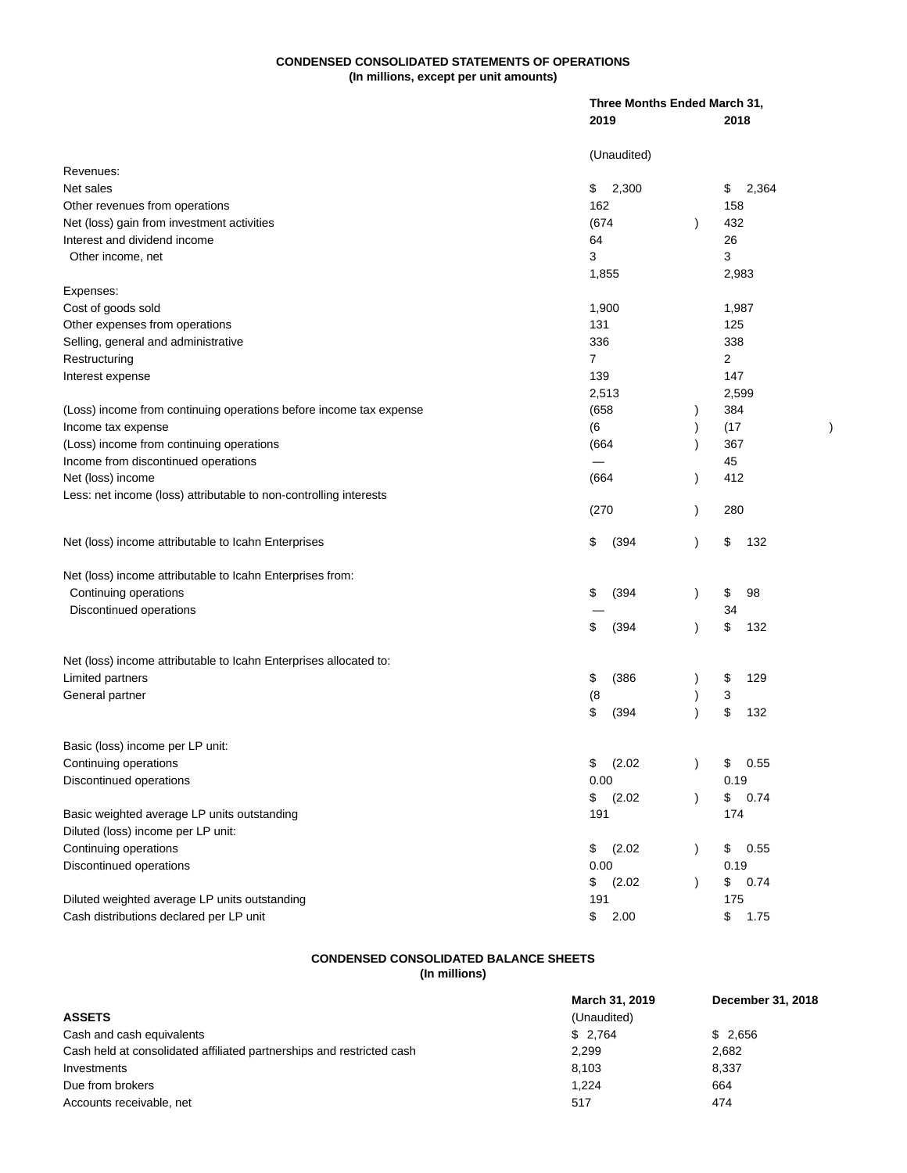# **CONDENSED CONSOLIDATED STATEMENTS OF OPERATIONS**

**(In millions, except per unit amounts)**

|                                                                    | Three Months Ended March 31, |                             |  |  |
|--------------------------------------------------------------------|------------------------------|-----------------------------|--|--|
|                                                                    | 2019                         | 2018                        |  |  |
|                                                                    | (Unaudited)                  |                             |  |  |
| Revenues:                                                          |                              |                             |  |  |
| Net sales                                                          | \$<br>2,300                  | \$<br>2,364                 |  |  |
| Other revenues from operations                                     | 162                          | 158                         |  |  |
| Net (loss) gain from investment activities                         | (674)                        | 432<br>$\mathcal{E}$        |  |  |
| Interest and dividend income                                       | 64                           | 26                          |  |  |
| Other income, net                                                  | 3                            | 3                           |  |  |
|                                                                    | 1,855                        | 2,983                       |  |  |
| Expenses:                                                          |                              |                             |  |  |
| Cost of goods sold                                                 | 1,900                        | 1,987                       |  |  |
| Other expenses from operations                                     | 131                          | 125                         |  |  |
| Selling, general and administrative                                | 336                          | 338                         |  |  |
| Restructuring                                                      | 7                            | $\overline{c}$              |  |  |
| Interest expense                                                   | 139                          | 147                         |  |  |
|                                                                    | 2,513                        | 2,599                       |  |  |
| (Loss) income from continuing operations before income tax expense | (658)                        | 384                         |  |  |
| Income tax expense                                                 | (6)                          | (17)                        |  |  |
| (Loss) income from continuing operations                           | (664                         | 367                         |  |  |
| Income from discontinued operations                                |                              | 45                          |  |  |
| Net (loss) income                                                  | (664)                        | 412                         |  |  |
| Less: net income (loss) attributable to non-controlling interests  |                              |                             |  |  |
|                                                                    | (270)                        | 280                         |  |  |
| Net (loss) income attributable to Icahn Enterprises                | \$<br>(394)                  | \$<br>132<br>$\lambda$      |  |  |
| Net (loss) income attributable to Icahn Enterprises from:          |                              |                             |  |  |
| Continuing operations                                              | \$<br>(394)                  | \$<br>98<br>$\mathcal{E}$   |  |  |
| Discontinued operations                                            |                              | 34                          |  |  |
|                                                                    | \$<br>(394)                  | \$<br>132<br>$\mathcal{E}$  |  |  |
| Net (loss) income attributable to Icahn Enterprises allocated to:  |                              |                             |  |  |
| Limited partners                                                   | \$<br>(386)                  | \$<br>129                   |  |  |
| General partner                                                    | (8)                          | 3                           |  |  |
|                                                                    | \$<br>(394)                  | \$<br>132                   |  |  |
| Basic (loss) income per LP unit:                                   |                              |                             |  |  |
| Continuing operations                                              | (2.02)<br>\$                 | \$<br>0.55                  |  |  |
| Discontinued operations                                            | 0.00                         | 0.19                        |  |  |
|                                                                    | \$<br>(2.02)                 | \$<br>0.74<br>$\lambda$     |  |  |
| Basic weighted average LP units outstanding                        | 191                          | 174                         |  |  |
| Diluted (loss) income per LP unit:                                 |                              |                             |  |  |
| Continuing operations                                              | \$<br>(2.02)                 | \$<br>0.55<br>$\mathcal{E}$ |  |  |
| Discontinued operations                                            | 0.00                         | 0.19                        |  |  |
|                                                                    | \$<br>(2.02)                 | \$<br>0.74<br>$\lambda$     |  |  |
| Diluted weighted average LP units outstanding                      | 191                          | 175                         |  |  |
| Cash distributions declared per LP unit                            | $\frac{1}{2}$<br>2.00        | \$<br>1.75                  |  |  |
|                                                                    |                              |                             |  |  |

### **CONDENSED CONSOLIDATED BALANCE SHEETS (In millions)**

|                                                                       | March 31, 2019 | December 31, 2018 |  |  |
|-----------------------------------------------------------------------|----------------|-------------------|--|--|
| <b>ASSETS</b>                                                         | (Unaudited)    |                   |  |  |
| Cash and cash equivalents                                             | \$2,764        | \$2.656           |  |  |
| Cash held at consolidated affiliated partnerships and restricted cash | 2.299          | 2,682             |  |  |
| Investments                                                           | 8.103          | 8,337             |  |  |
| Due from brokers                                                      | 1.224          | 664               |  |  |
| Accounts receivable, net                                              | 517            | 474               |  |  |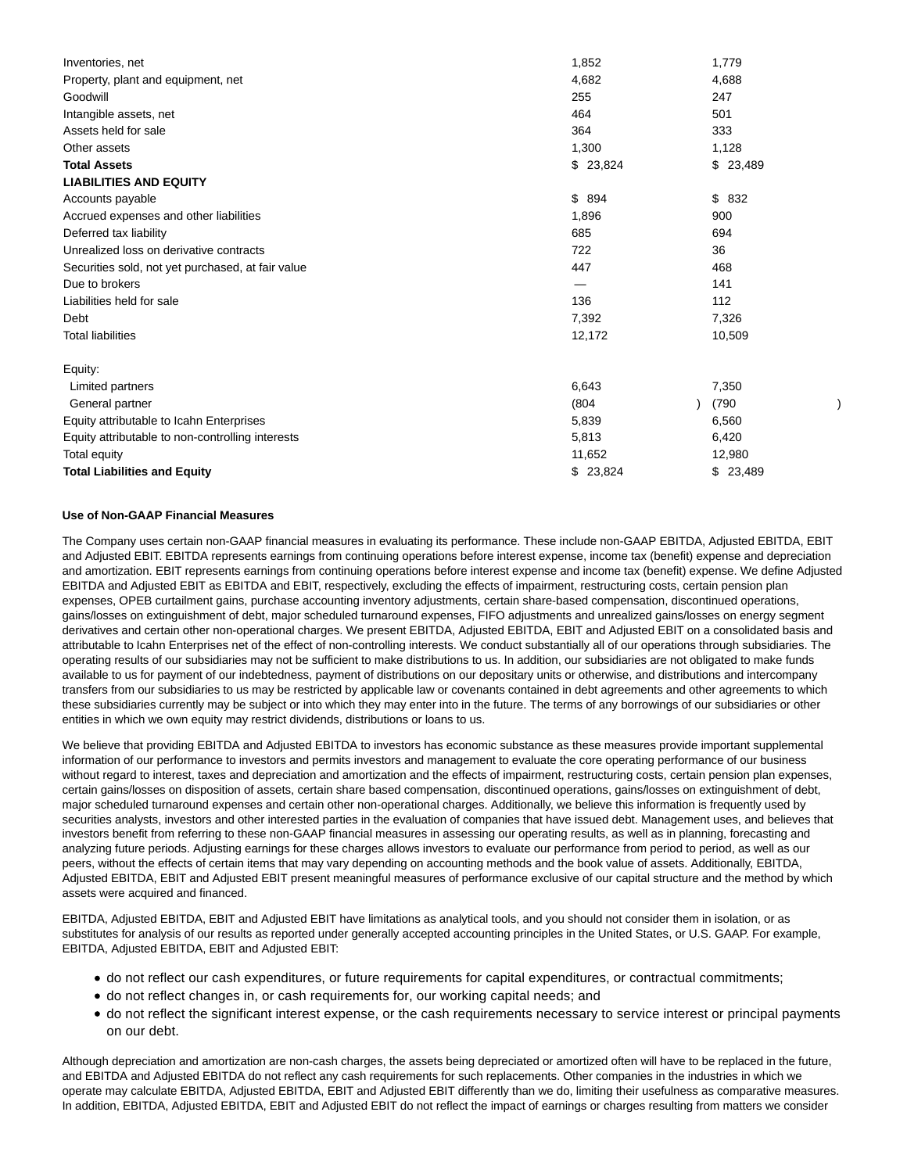| Inventories, net                                  | 1,852    |     | 1,779    |  |  |
|---------------------------------------------------|----------|-----|----------|--|--|
| Property, plant and equipment, net                | 4,682    |     | 4,688    |  |  |
| Goodwill                                          | 255      | 247 |          |  |  |
| Intangible assets, net                            | 464      |     | 501      |  |  |
| Assets held for sale                              | 364      |     | 333      |  |  |
| Other assets                                      | 1,300    |     | 1,128    |  |  |
| <b>Total Assets</b>                               | \$23,824 |     | \$23,489 |  |  |
| <b>LIABILITIES AND EQUITY</b>                     |          |     |          |  |  |
| Accounts payable                                  | \$ 894   |     | \$832    |  |  |
| Accrued expenses and other liabilities            | 1,896    |     | 900      |  |  |
| Deferred tax liability                            | 685      |     | 694      |  |  |
| Unrealized loss on derivative contracts           | 722      |     | 36       |  |  |
| Securities sold, not yet purchased, at fair value | 447      | 468 |          |  |  |
| Due to brokers                                    |          | 141 |          |  |  |
| Liabilities held for sale                         | 136      |     | 112      |  |  |
| Debt                                              | 7,392    |     | 7,326    |  |  |
| <b>Total liabilities</b>                          | 12,172   |     | 10,509   |  |  |
| Equity:                                           |          |     |          |  |  |
| Limited partners                                  | 6,643    |     | 7,350    |  |  |
| General partner                                   | (804)    |     | (790     |  |  |
| Equity attributable to Icahn Enterprises          | 5,839    |     | 6,560    |  |  |
| Equity attributable to non-controlling interests  | 5,813    |     | 6,420    |  |  |
| Total equity                                      | 11,652   |     | 12,980   |  |  |
| <b>Total Liabilities and Equity</b>               | \$23,824 |     | \$23,489 |  |  |

### **Use of Non-GAAP Financial Measures**

The Company uses certain non-GAAP financial measures in evaluating its performance. These include non-GAAP EBITDA, Adjusted EBITDA, EBIT and Adjusted EBIT. EBITDA represents earnings from continuing operations before interest expense, income tax (benefit) expense and depreciation and amortization. EBIT represents earnings from continuing operations before interest expense and income tax (benefit) expense. We define Adjusted EBITDA and Adjusted EBIT as EBITDA and EBIT, respectively, excluding the effects of impairment, restructuring costs, certain pension plan expenses, OPEB curtailment gains, purchase accounting inventory adjustments, certain share-based compensation, discontinued operations, gains/losses on extinguishment of debt, major scheduled turnaround expenses, FIFO adjustments and unrealized gains/losses on energy segment derivatives and certain other non-operational charges. We present EBITDA, Adjusted EBITDA, EBIT and Adjusted EBIT on a consolidated basis and attributable to Icahn Enterprises net of the effect of non-controlling interests. We conduct substantially all of our operations through subsidiaries. The operating results of our subsidiaries may not be sufficient to make distributions to us. In addition, our subsidiaries are not obligated to make funds available to us for payment of our indebtedness, payment of distributions on our depositary units or otherwise, and distributions and intercompany transfers from our subsidiaries to us may be restricted by applicable law or covenants contained in debt agreements and other agreements to which these subsidiaries currently may be subject or into which they may enter into in the future. The terms of any borrowings of our subsidiaries or other entities in which we own equity may restrict dividends, distributions or loans to us.

We believe that providing EBITDA and Adjusted EBITDA to investors has economic substance as these measures provide important supplemental information of our performance to investors and permits investors and management to evaluate the core operating performance of our business without regard to interest, taxes and depreciation and amortization and the effects of impairment, restructuring costs, certain pension plan expenses, certain gains/losses on disposition of assets, certain share based compensation, discontinued operations, gains/losses on extinguishment of debt, major scheduled turnaround expenses and certain other non-operational charges. Additionally, we believe this information is frequently used by securities analysts, investors and other interested parties in the evaluation of companies that have issued debt. Management uses, and believes that investors benefit from referring to these non-GAAP financial measures in assessing our operating results, as well as in planning, forecasting and analyzing future periods. Adjusting earnings for these charges allows investors to evaluate our performance from period to period, as well as our peers, without the effects of certain items that may vary depending on accounting methods and the book value of assets. Additionally, EBITDA, Adjusted EBITDA, EBIT and Adjusted EBIT present meaningful measures of performance exclusive of our capital structure and the method by which assets were acquired and financed.

EBITDA, Adjusted EBITDA, EBIT and Adjusted EBIT have limitations as analytical tools, and you should not consider them in isolation, or as substitutes for analysis of our results as reported under generally accepted accounting principles in the United States, or U.S. GAAP. For example, EBITDA, Adjusted EBITDA, EBIT and Adjusted EBIT:

- do not reflect our cash expenditures, or future requirements for capital expenditures, or contractual commitments;
- do not reflect changes in, or cash requirements for, our working capital needs; and
- do not reflect the significant interest expense, or the cash requirements necessary to service interest or principal payments on our debt.

Although depreciation and amortization are non-cash charges, the assets being depreciated or amortized often will have to be replaced in the future, and EBITDA and Adjusted EBITDA do not reflect any cash requirements for such replacements. Other companies in the industries in which we operate may calculate EBITDA, Adjusted EBITDA, EBIT and Adjusted EBIT differently than we do, limiting their usefulness as comparative measures. In addition, EBITDA, Adjusted EBITDA, EBIT and Adjusted EBIT do not reflect the impact of earnings or charges resulting from matters we consider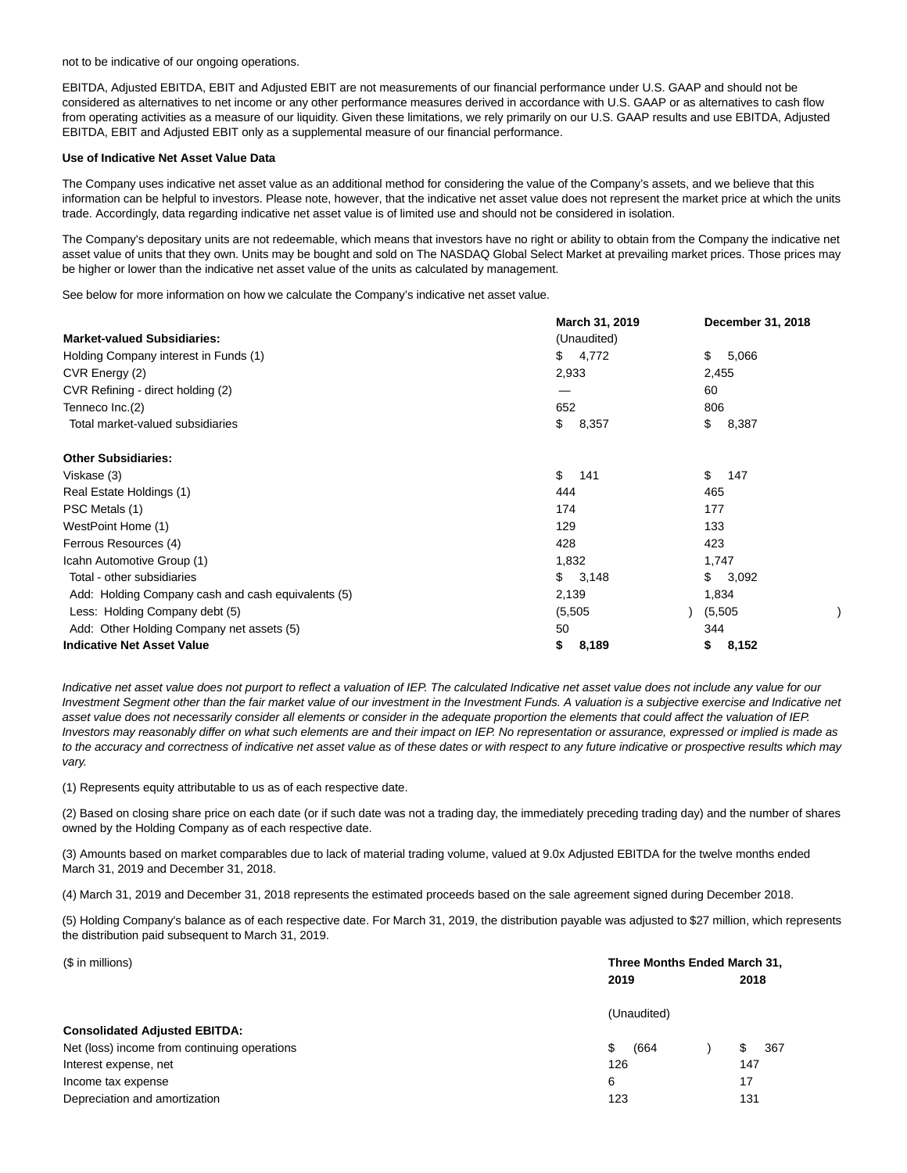not to be indicative of our ongoing operations.

EBITDA, Adjusted EBITDA, EBIT and Adjusted EBIT are not measurements of our financial performance under U.S. GAAP and should not be considered as alternatives to net income or any other performance measures derived in accordance with U.S. GAAP or as alternatives to cash flow from operating activities as a measure of our liquidity. Given these limitations, we rely primarily on our U.S. GAAP results and use EBITDA, Adjusted EBITDA, EBIT and Adjusted EBIT only as a supplemental measure of our financial performance.

#### **Use of Indicative Net Asset Value Data**

The Company uses indicative net asset value as an additional method for considering the value of the Company's assets, and we believe that this information can be helpful to investors. Please note, however, that the indicative net asset value does not represent the market price at which the units trade. Accordingly, data regarding indicative net asset value is of limited use and should not be considered in isolation.

The Company's depositary units are not redeemable, which means that investors have no right or ability to obtain from the Company the indicative net asset value of units that they own. Units may be bought and sold on The NASDAQ Global Select Market at prevailing market prices. Those prices may be higher or lower than the indicative net asset value of the units as calculated by management.

See below for more information on how we calculate the Company's indicative net asset value.

|                                                    | March 31, 2019 | December 31, 2018 |
|----------------------------------------------------|----------------|-------------------|
| <b>Market-valued Subsidiaries:</b>                 | (Unaudited)    |                   |
| Holding Company interest in Funds (1)              | 4,772<br>\$    | \$<br>5,066       |
| CVR Energy (2)                                     | 2,933          | 2,455             |
| CVR Refining - direct holding (2)                  | __             | 60                |
| Tenneco Inc.(2)                                    | 652            | 806               |
| Total market-valued subsidiaries                   | \$<br>8,357    | \$<br>8,387       |
| <b>Other Subsidiaries:</b>                         |                |                   |
| Viskase (3)                                        | \$<br>141      | \$<br>147         |
| Real Estate Holdings (1)                           | 444            | 465               |
| PSC Metals (1)                                     | 174            | 177               |
| WestPoint Home (1)                                 | 129            | 133               |
| Ferrous Resources (4)                              | 428            | 423               |
| Icahn Automotive Group (1)                         | 1,832          | 1,747             |
| Total - other subsidiaries                         | \$<br>3,148    | \$<br>3,092       |
| Add: Holding Company cash and cash equivalents (5) | 2,139          | 1,834             |
| Less: Holding Company debt (5)                     | (5,505)        | (5,505)           |
| Add: Other Holding Company net assets (5)          | 50             | 344               |
| <b>Indicative Net Asset Value</b>                  | \$<br>8,189    | \$<br>8,152       |

Indicative net asset value does not purport to reflect a valuation of IEP. The calculated Indicative net asset value does not include any value for our Investment Segment other than the fair market value of our investment in the Investment Funds. A valuation is a subjective exercise and Indicative net asset value does not necessarily consider all elements or consider in the adequate proportion the elements that could affect the valuation of IEP. Investors may reasonably differ on what such elements are and their impact on IEP. No representation or assurance, expressed or implied is made as to the accuracy and correctness of indicative net asset value as of these dates or with respect to any future indicative or prospective results which may vary.

(1) Represents equity attributable to us as of each respective date.

(2) Based on closing share price on each date (or if such date was not a trading day, the immediately preceding trading day) and the number of shares owned by the Holding Company as of each respective date.

(3) Amounts based on market comparables due to lack of material trading volume, valued at 9.0x Adjusted EBITDA for the twelve months ended March 31, 2019 and December 31, 2018.

(4) March 31, 2019 and December 31, 2018 represents the estimated proceeds based on the sale agreement signed during December 2018.

(5) Holding Company's balance as of each respective date. For March 31, 2019, the distribution payable was adjusted to \$27 million, which represents the distribution paid subsequent to March 31, 2019.

| (\$ in millions)                             | Three Months Ended March 31, |            |  |  |  |  |
|----------------------------------------------|------------------------------|------------|--|--|--|--|
|                                              | 2019                         | 2018       |  |  |  |  |
|                                              | (Unaudited)                  |            |  |  |  |  |
| <b>Consolidated Adjusted EBITDA:</b>         |                              |            |  |  |  |  |
| Net (loss) income from continuing operations | \$<br>(664)                  | 367<br>\$. |  |  |  |  |
| Interest expense, net                        | 126                          | 147        |  |  |  |  |
| Income tax expense                           | 6                            | 17         |  |  |  |  |
| Depreciation and amortization                | 123                          | 131        |  |  |  |  |